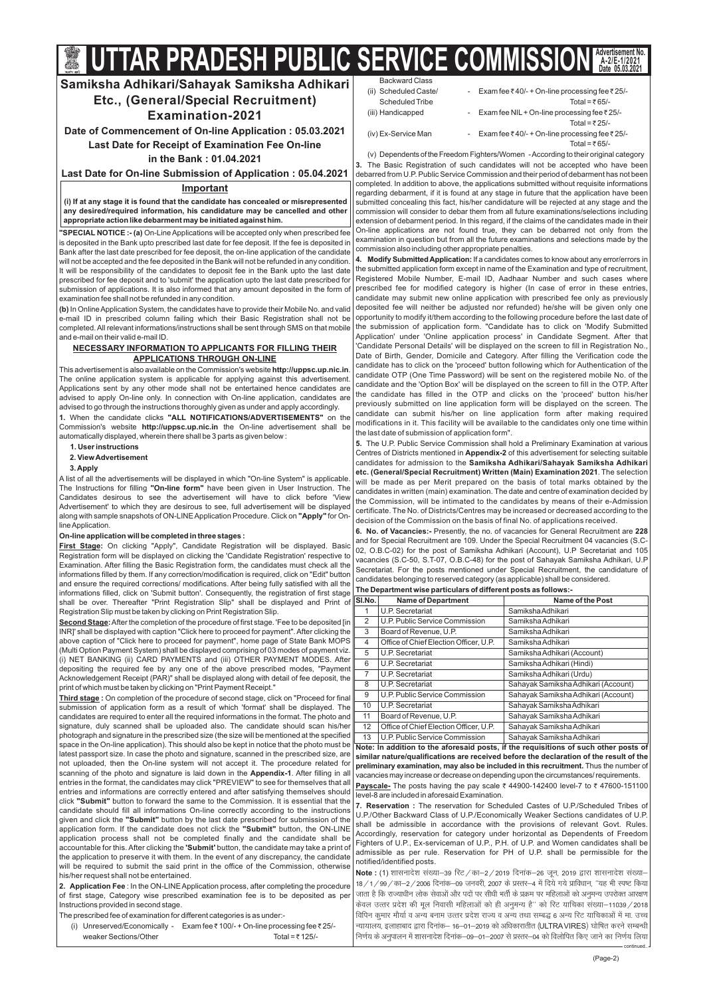(Page-2)

Backward Class

(v) Dependentsofthe Freedom Fighters/Women -According to their original category The Basic Registration of such candidates will not be accepted who have been **3.** debarred from U.P. Public Service Commission and their period of debarment has not been completed. In addition to above, the applications submitted without requisite informations regarding debarment, if it is found at any stage in future that the application have been submitted concealing this fact, his/her candidature will be rejected at any stage and the commission will consider to debar them from all future examinations/selections including extension of debarment period. In this regard, if the claims of the candidates made in their On-line applications are not found true, they can be debarred not only from the examination in question but from all the future examinations and selections made by the commission also including other appropriate penalties.

**4. Modify Submitted Application:** If a candidates comes to know about any error/errors in the submitted application form except in name of the Examination and type of recruitment, Registered Mobile Number, E-mail ID, Aadhaar Number and such cases where prescribed fee for modified category is higher (In case of error in these entries, candidate may submit new online application with prescribed fee only as previously deposited fee will neither be adjusted nor refunded) he/she will be given only one opportunity to modify it/them according to the following procedure before the last date of the submission of application form. "Candidate has to click on 'Modify Submitted Application' under 'Online application process' in Candidate Segment. After that 'Candidate Personal Details' will be displayed on the screen to fill in Registration No., Date of Birth, Gender, Domicile and Category. After filling the Verification code the candidate has to click on the 'proceed' button following which for Authentication of the candidate OTP (One Time Password) will be sent on the registered mobile No. of the candidate and the 'Option Box' will be displayed on the screen to fill in the OTP. After the candidate has filled in the OTP and clicks on the 'proceed' button his/her previously submitted on line application form will be displayed on the screen. The candidate can submit his/her on line application form after making required modifications in it. This facility will be available to the candidates only one time within the last date of submission of application form".

**5.** The U.P. Public Service Commission shall hold a Preliminary Examination at various Centres of Districts mentioned in Appendix-2 of this advertisement for selecting suitable candidates for admission to the **Samiksha Adhikari/Sahayak Samiksha Adhikari etc. (General/Special Recruitment) Written (Main) Examination 2021**. The selection will be made as per Merit prepared on the basis of total marks obtained by the candidates in written (main) examination. The date and centre of examination decided by the Commission, will be intimated to the candidates by means of their e-Admission certificate. The No. of Districts/Centres may be increased or decreased according to the decision of the Commission on the basis of final No. of applications received.

6. No. of Vacancies:- Presently, the no. of vacancies for General Recruitment are 228 and for Special Recruitment are 109. Under the Special Recruitment 04 vacancies (S.C-02, O.B.C-02) for the post of Samiksha Adhikari (Account), U.P Secretariat and 105 vacancies (S.C-50, S.T-07, O.B.C-48) for the post of Sahayak Samiksha Adhikari, U.P Secretariat. For the posts mentioned under Special Recruitment, the candidature of candidates belonging to reserved category (as applicable) shall be considered.

**7. Reservation :** The reservation for Scheduled Castes of U.P./Scheduled Tribes of U.P./Other Backward Class of U.P./Economically Weaker Sections candidates of U.P. shall be admissible in accordance with the provisions of relevant Govt. Rules. Accordingly, reservation for category under horizontal as Dependents of Freedom Fighters of U.P., Ex-serviceman of U.P., P.H. of U.P. and Women candidates shall be admissible as per rule. Reservation for PH of U.P. shall be permissible for the notified/identified posts.

**preliminary examination, may also be included in this recruitment.** Thus the number of vacancies may increase or decrease on depending upon the circumstances/requirements. **Payscale-** The posts having the pay scale ₹ 44900-142400 level-7 to ₹ 47600-151100 level-8 are included in aforesaid Examination. **similar nature/qualifications are received before the declaration of the result of the**

**Note : (1)** शासनादेश संख्या–39 रिट / का–2 / 2019 दिनांक–26 जून, 2019 द्वारा शासनादेश संख्या– न्यायालय, इलाहाबाद द्वारा दिनांक— 16—01—2019 को अधिकारातीत (ULTRA VIRES) घोषित करने सम्बन्धी 18/1/99/का—2/2006 दिनांक—09 जनवरी, 2007 के प्रस्तर—4 में दिये गये प्राविधान, ''यह भी स्पष्ट किया जाता है कि राज्याधीन लोक सेवाओं और पदों पर सीधी भर्ती के प्रक्रम पर महिलाओं को अनुमन्य उपरोक्त आरक्षण *dsoy mRrj izns'k dh ewy fuoklh efgykvksa dks gh vuqeU; gS\*\* dks fjV ;kfpdk la[;k&11039@2018 fofiu dqekj ekS;kZ o vU; cuke mRrj izns'k jkT; o vU; rFkk lEc) 6 vU; fjV ;kfpdkvksa esa ek- mPp fu.kZ; ds vuqikyu esa 'kklukns'k fnukad&09&01&2007 ls izLrj&04 dks foyksfir fd, tkus dk fu.kZ; fy;k*

| <b>DUUNVUN OIUJJ</b>  |                                                        |
|-----------------------|--------------------------------------------------------|
| (ii) Scheduled Caste/ | - Exam fee ₹40/- + On-line processing fee ₹25/-        |
| Scheduled Tribe       | Total = $\overline{z}$ 65/-                            |
| (iii) Handicapped     | - Exam fee NIL + On-line processing fee $\bar{z}$ 25/- |
|                       | Total = $\overline{z}$ 25/-                            |
| (iv) Ex-Service Man   | - Exam fee ₹40/- + On-line processing fee ₹25/-        |

Total =  $\bar{\tau}$  65/-

This advertisement is also available on the Commission's website **http://uppsc.up.nic.in**. The online application system is applicable for applying against this advertisement. Applications sent by any other mode shall not be entertained hence candidates are advised to apply On-line only. In connection with On-line application, candidates are advised to go through the instructions thoroughly given as under and apply accordingly.

**1.** When the candidate clicks "ALL NOTIFICATIONS/ADVERTISEMENTS" on the Commission's website http://uppsc.up.nic.in the On-line advertisement shall be automatically displayed, wherein there shall be 3 parts as given below :

The Instructions for filling **"On-line form"** have been given in User Instruction. The along with sample snapshots of ON-LINE Application Procedure. Click on **"Apply"** for On-A list of all the advertisements will be displayed in which "On-line System" is applicable. Candidates desirous to see the advertisement will have to click before 'View Advertisement' to which they are desirous to see, full advertisement will be displayed lineApplication.

| SI.No. | <b>Name of Department</b>              | Name of the Post                                                                     |
|--------|----------------------------------------|--------------------------------------------------------------------------------------|
|        | U.P. Secretariat                       | Samiksha Adhikari                                                                    |
| 2      | U.P. Public Service Commission         | Samiksha Adhikari                                                                    |
| 3      | Board of Revenue, U.P.                 | Samiksha Adhikari                                                                    |
| 4      | Office of Chief Election Officer, U.P. | Samiksha Adhikari                                                                    |
| 5      | U.P. Secretariat                       | Samiksha Adhikari (Account)                                                          |
| 6      | U.P. Secretariat                       | Samiksha Adhikari (Hindi)                                                            |
| 7      | U.P. Secretariat                       | Samiksha Adhikari (Urdu)                                                             |
| 8      | U.P. Secretariat                       | Sahayak Samiksha Adhikari (Account)                                                  |
| 9      | U.P. Public Service Commission         | Sahayak Samiksha Adhikari (Account)                                                  |
| 10     | U.P. Secretariat                       | Sahayak Samiksha Adhikari                                                            |
| 11     | Board of Revenue, U.P.                 | Sahayak Samiksha Adhikari                                                            |
| 12     | Office of Chief Election Officer, U.P. | Sahayak Samiksha Adhikari                                                            |
| 13     | U.P. Public Service Commission         | Sahayak Samiksha Adhikari                                                            |
|        |                                        | Note: In addition to the aforesaid posts, if the requisitions of such other posts of |

### **The Department wise particulars of different posts as follows:-**

 $\mathbf{Second \, Stage:}$  After the completion of the procedure of first stage. 'Fee to be deposited [in INR]' shall be displayed with caption "Click here to proceed for payment". After clicking the above caption of "Click here to proceed for payment", home page of State Bank MOPS (Multi Option Payment System) shall be displayed comprising of 03 modes of payment viz. (i) NET BANKING (ii) CARD PAYMENTS and (iii) OTHER PAYMENT MODES. After depositing the required fee by any one of the above prescribed modes, "Payment Acknowledgement Receipt (PAR)" shall be displayed along with detail of fee deposit, the print of which must be taken by clicking on "Print Payment Receipt."

# **Samiksha Adhikari/Sahayak Samiksha Adhikari Etc., (General/Special Recruitment) Examination-2021**

**Date of Commencement of On-line Application : 05.03.2021 Last Date for Receipt of Examination Fee On-line in the Bank : 01.04.2021**

**Last Date for On-line Submission of Application : 05.04.2021**

# **Important**

**(i) If at any stage it is found that the candidate has concealed or misrepresented any desired/required information, his candidature may be cancelled and other appropriate action like debarment may be initiated against him.**

- **1. User instructions**
- **2. ViewAdvertisement**

# **3.Apply**

## **On-line application will be completed in three stages :**

**"SPECIAL NOTICE :- (a)** On-Line Applications will be accepted only when prescribed fee is deposited in the Bank upto prescribed last date for fee deposit. If the fee is deposited in Bank after the last date prescribed for fee deposit, the on-line application of the candidate will not be accepted and the fee deposited in the Bank will not be refunded in any condition. It will be responsibility of the candidates to deposit fee in the Bank upto the last date prescribed for fee deposit and to 'submit' the application upto the last date prescribed for submission of applications. It is also informed that any amount deposited in the form of examination fee shall not be refunded in any condition.

**(b)** In OnlineApplication System, the candidates have to provide their Mobile No. and valid e-mail ID in prescribed column failing which their Basic Registration shall not be completed.All relevant informations/instructions shall be sent through SMS on that mobile and e-mail on their valid e-mail ID.

**:** On clicking "Apply", Candidate Registration will be displayed. Basic **First Stage** Registration form will be displayed on clicking the 'Candidate Registration' respective to Examination. After filling the Basic Registration form, the candidates must check all the informations filled by them. If any correction/modification is required, click on "Edit" button and ensure the required corrections/ modifications. After being fully satisfied with all the informations filled, click on 'Submit button'. Consequently, the registration of first stage shall be over. Thereafter "Print Registration Slip" shall be displayed and Print of Registration Slip must be taken by clicking on Print Registration Slip.

**:** On completion of the procedure of second stage, click on "Proceed for final **Third stage** scanning of the photo and signature is laid down in the **Appendix-1**. After filling in all click **"Submit"** button to forward the same to the Commission. It is essential that the given and click the **"Submit"** button by the last date prescribed for submission of the application form. If the candidate does not click the "Submit" button, the ON-LINE accountable for this. After clicking the **'Submit'** button, the candidate may take a print of submission of application form as a result of which 'format' shall be displayed. The candidates are required to enter all the required informations in the format. The photo and signature, duly scanned shall be uploaded also. The candidate should scan his/her photograph and signature in the prescribed size (the size will be mentioned at the specified space in the On-line application). This should also be kept in notice that the photo must be  $\parallel$ latest passport size. In case the photo and signature, scanned in the prescribed size, are not uploaded, then the On-line system will not accept it. The procedure related for entries in the format, the candidates may click "PREVIEW" to see for themselves that all entries and informations are correctly entered and after satisfying themselves should candidate should fill all informations On-line correctly according to the instructions application process shall not be completed finally and the candidate shall be the application to preserve it with them. In the event of any discrepancy, the candidate will be required to submit the said print in the office of the Commission, otherwise his/her request shall not be entertained.

**2. Application Fee** : In the ON-LINE Application process, after completing the procedure of first stage, Category wise prescribed examination fee is to be deposited as per Instructions provided in second stage.

The prescribed fee of examination for different categories is as under:-

(i) Unreserved/Economically - Exam fee ₹100/- + On-line processing fee ₹25/weaker Sections/Other Total =  $\overline{z}$  125/-

# **NECESSARY INFORMATION TO APPLICANTS FOR FILLING THEIR APPLICATIONS THROUGH ON-LINE**

continued..

# **UTTAR PRADESH PUBLIC SERVICE COMMISSION Advertisement No. A-2/E-1/2021 Date 05.03.2021**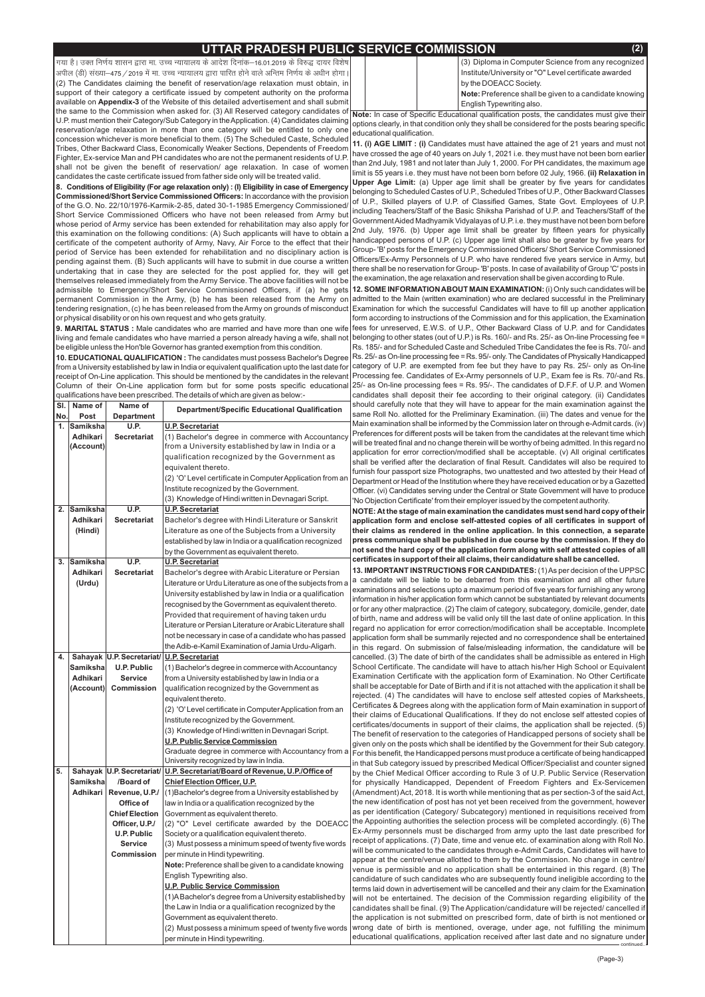(Page-3)

*x;k gSA mDr fu.kZ; 'kklu }kjk ek- mPp U;k;ky; ds vkns'k fnukad&16-01-2019 ds fo#) nk;j fo'ks"k* अपील (डी) संख्या–475 */* 2019 में मा. उच्च न्यायालय द्वारा पारित होने वाले अन्तिम निर्णय के अधीन होगा (2) The Candidates claiming the benefit of reservation/age relaxation must obtain, in support of their category a certificate issued by competent authority on the proforma available on Appendix-3 of the Website of this detailed advertisement and shall submit the same to the Commission when asked for. (3) All Reserved category candidates of U.P. must mention their Category/Sub Category in theApplication. (4) Candidates claiming reservation/age relaxation in more than one category will be entitled to only one

concession whichever is more beneficial to them. (5) The Scheduled Caste, Scheduled Tribes, Other Backward Class, Economically Weaker Sections, Dependents of Freedom Fighter, Ex-service Man and PH candidates who are not the permanent residents of U.P. shall not be given the benefit of reservation/ age relaxation. In case of women candidates the caste certificate issued from father side only will be treated valid.

**9. MARITAL STATUS :** Male candidates who are married and have more than one wife living and female candidates who have married a person already having a wife, shall not be eligible unless the Hon'ble Governor has granted exemption from this condition.

**Commissioned/Short Service Commissioned Officers:** In accordance with the provision of the G.O. No. 22/10/1976-Karmik-2-85, dated 30-1-1985 Emergency Commissioned/ Short Service Commissioned Officers who have not been released from Army but whose period of Army service has been extended for rehabilitation may also apply for this examination on the following conditions: (A) Such applicants will have to obtain a certificate of the competent authority of Army, Navy, Air Force to the effect that their period of Service has been extended for rehabilitation and no disciplinary action is pending against them. (B) Such applicants will have to submit in due course a written undertaking that in case they are selected for the post applied for, they will get themselves released immediately from the Army Service. The above facilities will not be admissible to Emergency/Short Service Commissioned Officers, if (a) he gets or physical disability or on his own request and who gets gratuity. **8. Conditions of Eligibility (For age relaxation only) : (I) Eligibility in case of Emergency**

**10. EDUCATIONAL QUALIFICATION :** The candidates must possess Bachelor's Degree from a University established by law in India or equivalent qualification upto the last date for receipt of On-Line application. This should be mentioned by the candidates in the relevant Column of their On-Line application form but for some posts specific educational qualifications have been prescribed. The details of which are given as below:-

**Note:** In case of Specific Educational qualification posts, the candidates must give their options clearly, in that condition only they shall be considered for the posts bearing specific educational qualification.

**Upper Age Limit:** (a) Upper age limit shall be greater by five years for candidates belonging to Scheduled Castes of U.P., Scheduled Tribes of U.P., Other Backward Classes of U.P., Skilled players of U.P. of Classified Games, State Govt. Employees of U.P. including Teachers/Staff of the Basic Shiksha Parishad of U.P. and Teachers/Staff of the GovernmentAided Madhyamik Vidyalayas of U.P. i.e. they must have not been born before 2nd July, 1976. (b) Upper age limit shall be greater by fifteen years for physically handicapped persons of U.P. (c) Upper age limit shall also be greater by five years for Group- 'B' posts for the Emergency Commissioned Officers/ Short Service Commissioned Officers/Ex-Army Personnels of U.P. who have rendered five years service in Army, but there shall be no reservation for Group- 'B' posts. In case of availability of Group 'C' posts in the examination, the age relaxation and reservation shall be given according to Rule.

| SI.            | Name of         | Name of                   | <b>Department/Specific Educational Qualification</b>        |
|----------------|-----------------|---------------------------|-------------------------------------------------------------|
| No.            | Post            | <b>Department</b>         |                                                             |
| $\mathbf{1}$ . | <b>Samiksha</b> | U.P.                      | <b>U.P. Secretariat</b>                                     |
|                | Adhikari        | <b>Secretariat</b>        | (1) Bachelor's degree in commerce with Accountancy          |
|                | (Account)       |                           | from a University established by law in India or a          |
|                |                 |                           | qualification recognized by the Government as               |
|                |                 |                           | equivalent thereto.                                         |
|                |                 |                           | (2) 'O' Level certificate in Computer Application from an   |
|                |                 |                           | Institute recognized by the Government.                     |
|                |                 |                           | (3) Knowledge of Hindi written in Devnagari Script.         |
| 2.             | <b>Samiksha</b> | <b>U.P.</b>               | <b>U.P. Secretariat</b>                                     |
|                | Adhikari        | <b>Secretariat</b>        | Bachelor's degree with Hindi Literature or Sanskrit         |
|                | (Hindi)         |                           | Literature as one of the Subjects from a University         |
|                |                 |                           | established by law in India or a qualification recognized   |
|                |                 |                           | by the Government as equivalent thereto.                    |
| 3.             | <b>Samiksha</b> | <b>U.P.</b>               | <b>U.P. Secretariat</b>                                     |
|                | <b>Adhikari</b> | <b>Secretariat</b>        | Bachelor's degree with Arabic Literature or Persian         |
|                | (Urdu)          |                           | Literature or Urdu Literature as one of the subjects from a |
|                |                 |                           | University established by law in India or a qualification   |
|                |                 |                           | recognised by the Government as equivalent thereto.         |
|                |                 |                           | Provided that requirement of having taken urdu              |
|                |                 |                           | Literature or Persian Literature or Arabic Literature shall |
|                |                 |                           | not be necessary in case of a candidate who has passed      |
|                |                 |                           | the Adib-e-Kamil Examination of Jamia Urdu-Aligarh.         |
| 4.             |                 | Sahayak U.P. Secretariat/ | <b>U.P. Secretariat</b>                                     |
|                | <b>Samiksha</b> | <b>U.P. Public</b>        | (1) Bachelor's degree in commerce with Accountancy          |
|                | Adhikari        | <b>Service</b>            | from a University established by law in India or a          |
|                | (Account)       | <b>Commission</b>         | qualification recognized by the Government as               |
|                |                 |                           | equivalent thereto.                                         |
|                |                 |                           | (2) 'O' Level certificate in Computer Application from an   |
|                |                 |                           | Institute recognized by the Government.                     |
|                |                 |                           | (3) Knowledge of Hindi written in Devnagari Script.         |
|                |                 |                           | <b>U.P. Public Service Commission</b>                       |
|                |                 |                           |                                                             |

permanent Commission in the Army, (b) he has been released from the Army on|admitted to the Main (written examination) who are declared successful in the Preliminary tendering resignation, (c) he has been released from the Army on grounds of misconduct|Examination for which the successful Candidates will have to fill up another application **12. SOME INFORMATION ABOUT MAIN EXAMINATION:** (i) Only such candidates will be form according to instructions of the Commission and for this application, the Examination fees for unreserved, E.W.S. of U.P., Other Backward Class of U.P. and for Candidates belonging to other states (out of U.P.) is Rs. 160/- and Rs. 25/- as On-line Processing fee = Rs. 185/- and for Scheduled Caste and Scheduled Tribe Candidates the fee is Rs. 70/- and Rs. 25/- as On-line processing fee = Rs. 95/- only. The Candidates of Physically Handicapped category of U.P. are exempted from fee but they have to pay Rs. 25/- only as On-line Processing fee. Candidates of Ex-Army personnels of U.P., Exam fee is Rs. 70/-and Rs. 25/- as On-line processing fees = Rs. 95/-. The candidates of D.F.F. of U.P. and Women candidates shall deposit their fee according to their original category. (ii) Candidates should carefully note that they will have to appear for the main examination against the same Roll No. allotted for the Preliminary Examination. (iii) The dates and venue for the Main examination shall be informed by the Commission later on through e-Admit cards. (iv) Preferences for different posts will be taken from the candidates at the relevant time which will be treated final and no change therein will be worthy of being admitted. In this regard no application for error correction/modified shall be acceptable. (v) All original certificates shall be verified after the declaration of final Result. Candidates will also be required to furnish four passport size Photographs, two unattested and two attested by their Head of Department or Head of the Institution where they have received education or by a Gazetted Officer. (vi) Candidates serving under the Central or State Government will have to produce 'No Objection Certificate' from their employer issued by the competent authority.

# **UTTAR PRADESH PUBLIC SERVICE COMMISSION (2)**

(3) Diploma in Computer Science from any recognized Institute/University or "O" Level certificate awarded by the DOEACC Society. **Note:** Preference shall be given to a candidate knowing English Typewriting also.

**NOTE: At the stage of main examination the candidates must send hard copy of their application form and enclose self-attested copies of all certificates in support of their claims as rendered in the online application. In this connection, a separate press communique shall be published in due course by the commission. If they do not send the hard copy of the application form along with self attested copies of all certificates in support of their all claims, their candidature shall be cancelled.**

**11. (i) AGE LIMIT : (i)** Candidates must have attained the age of 21 years and must not limit is 55 years i.e. they must have not been born before 02 July, 1966. **(ii) Relaxation in** have crossed the age of 40 years on July 1, 2021 i.e. they must have not been born earlier than 2nd July, 1981 and not later than July 1, 2000. For PH candidates, the maximum age

|    |           |                           | Graduate degree in commerce with Accountancy from a                         | For this benefit, the Handicapped persons must produce a certificate of being handicapped                                                                                     |
|----|-----------|---------------------------|-----------------------------------------------------------------------------|-------------------------------------------------------------------------------------------------------------------------------------------------------------------------------|
|    |           |                           | University recognized by law in India.                                      | in that Sub category issued by prescribed Medical Officer/Specialist and counter signed                                                                                       |
| 5. |           |                           | Sahayak U.P. Secretariat/ U.P. Secretariat/Board of Revenue, U.P./Office of | by the Chief Medical Officer according to Rule 3 of U.P. Public Service (Reservation)                                                                                         |
|    | Samikshal | /Board of                 | <b>Chief Election Officer, U.P.</b>                                         | for physically Handicapped, Dependent of Freedom Fighters and Ex-Servicemen                                                                                                   |
|    |           | Adhikari   Revenue, U.P./ | (1) Bachelor's degree from a University established by                      | (Amendment) Act, 2018. It is worth while mentioning that as per section-3 of the said Act,                                                                                    |
|    |           | Office of                 | law in India or a qualification recognized by the                           | the new identification of post has not yet been received from the government, however                                                                                         |
|    |           | <b>Chief Election</b>     | Government as equivalent thereto.                                           | as per identification (Category/ Subcategory) mentioned in requisitions received from                                                                                         |
|    |           | Officer, U.P./            | (2) "O" Level certificate awarded by the DOEACC                             | the Appointing authorities the selection process will be completed accordingly. (6) The                                                                                       |
|    |           | <b>U.P. Public</b>        | Society or a qualification equivalent thereto.                              | Ex-Army personnels must be discharged from army upto the last date prescribed for                                                                                             |
|    |           | <b>Service</b>            | (3) Must possess a minimum speed of twenty five words                       | receipt of applications. (7) Date, time and venue etc. of examination along with Roll No.                                                                                     |
|    |           | <b>Commission</b>         | per minute in Hindi typewriting.                                            | will be communicated to the candidates through e-Admit Cards, Candidates will have to                                                                                         |
|    |           |                           | Note: Preference shall be given to a candidate knowing                      | appear at the centre/venue allotted to them by the Commission. No change in centre/                                                                                           |
|    |           |                           | English Typewriting also.                                                   | venue is permissible and no application shall be entertained in this regard. (8) The<br>candidature of such candidates who are subsequently found ineligible according to the |
|    |           |                           | <b>U.P. Public Service Commission</b>                                       | terms laid down in advertisement will be cancelled and their any claim for the Examination                                                                                    |
|    |           |                           | (1) A Bachelor's degree from a University established by                    | will not be entertained. The decision of the Commission regarding eligibility of the                                                                                          |
|    |           |                           | the Law in India or a qualification recognized by the                       | candidates shall be final. (9) The Application/candidature will be rejected/cancelled if                                                                                      |
|    |           |                           | Government as equivalent thereto.                                           | the application is not submitted on prescribed form, date of birth is not mentioned or                                                                                        |
|    |           |                           | (2) Must possess a minimum speed of twenty five words                       | wrong date of birth is mentioned, overage, under age, not fulfilling the minimum                                                                                              |
|    |           |                           | per minute in Hindi typewriting.                                            | educational qualifications, application received after last date and no signature under                                                                                       |
|    |           |                           |                                                                             |                                                                                                                                                                               |

**13. IMPORTANT INSTRUCTIONS FOR CANDIDATES:** (1)As per decision of the UPPSC a candidate will be liable to be debarred from this examination and all other future examinations and selections upto a maximum period of five years for furnishing any wrong information in his/her application form which cannot be substantiated by relevant documents or for any other malpractice. (2) The claim of category, subcategory, domicile, gender, date of birth, name and address will be valid only till the last date of online application. In this regard no application for error correction/modification shall be acceptable. Incomplete application form shall be summarily rejected and no correspondence shall be entertained in this regard. On submission of false/misleading information, the candidature will be cancelled. (3) The date of birth of the candidates shall be admissible as entered in High School Certificate. The candidate will have to attach his/her High School or Equivalent Examination Certificate with the application form of Examination. No Other Certificate shall be acceptable for Date of Birth and if it is not attached with the application it shall be rejected. (4) The candidates will have to enclose self attested copies of Marksheets, Certificates & Degrees along with the application form of Main examination in support of their claims of Educational Qualifications. If they do not enclose self attested copies of certificates/documents in support of their claims, the application shall be rejected. (5) The benefit of reservation to the categories of Handicapped persons of society shall be given only on the posts which shall be identified by the Government for their Sub category.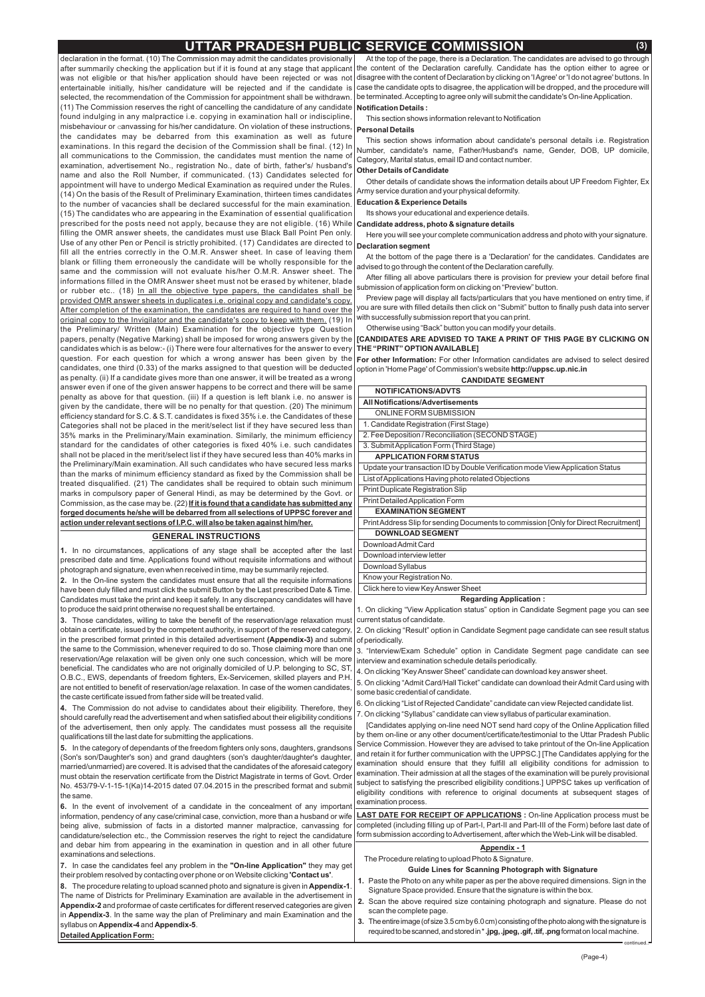# **UTTAR PRADESH PUBLIC SERVICE COMMISSION (3)**

continued..

**6.** In the event of involvement of a candidate in the concealment of any important information, pendency of any case/criminal case, conviction, more than a husband or wife being alive, submission of facts in a distorted manner malpractice, canvassing for candidature/selection etc., the Commission reserves the right to reject the candidature and debar him from appearing in the examination in question and in all other future examinations and selections.

7. In case the candidates feel any problem in the "On-line Application" they may get their problem resolved by contacting over phone or on Website clicking **'Contact us'**.

8. The procedure relating to upload scanned photo and signature is given in Appendix-1. The name of Districts for Preliminary Examination are available in the advertisement in Appendix-2 and proformae of caste certificates for different reserved categories are given in Appendix-3. In the same way the plan of Preliminary and main Examination and the syllabus on **Appendix-4** and **Appendix-5**.

declaration in the format. (10) The Commission may admit the candidates provisionally after summarily checking the application but if it is found at any stage that applicant was not eligible or that his/her application should have been rejected or was not entertainable initially, his/her candidature will be rejected and if the candidate is selected, the recommendation of the Commission for appointment shall be withdrawn. (11) The Commission reserves the right of cancelling the candidature of any candidate found indulging in any malpractice i.e. copying in examination hall or indiscipline, misbehaviour or  $\operatorname{\rm can}$ vassing for his/her candidature. On violation of these instructions, the candidates may be debarred from this examination as well as future examinations. In this regard the decision of the Commission shall be final. (12) In all communications to the Commission, the candidates must mention the name of examination, advertisement No., registration No., date of birth, father's/ husband's name and also the Roll Number, if communicated. (13) Candidates selected for appointment will have to undergo Medical Examination as required under the Rules. (14) On the basis of the Result of Preliminary Examination, thirteen times candidates to the number of vacancies shall be declared successful for the main examination. (15) The candidates who are appearing in the Examination of essential qualification prescribed for the posts need not apply, because they are not eligible. (16) While filling the OMR answer sheets, the candidates must use Black Ball Point Pen only. Use of any other Pen or Pencil is strictly prohibited. (17) Candidates are directed to fill all the entries correctly in the O.M.R. Answer sheet. In case of leaving them blank or filling them erroneously the candidate will be wholly responsible for the same and the commission will not evaluate his/her O.M.R. Answer sheet. The informations filled in the OMR Answer sheet must not be erased by whitener, blade or rubber etc.. (18) <u>In all the objective type papers, the candidates shall be</u> <u>original copy to the Invigilator and the candidate's copy to keep with them.</u> (19) In the Preliminary/ Written (Main) Examination for the objective type Question papers, penalty (Negative Marking) shall be imposed for wrong answers given by the candidates which is as below:- (i) There were four alternatives for the answer to every question. For each question for which a wrong answer has been given by the candidates, one third (0.33) of the marks assigned to that question will be deducted as penalty. (ii) If a candidate gives more than one answer, it will be treated as a wrong answer even if one of the given answer happens to be correct and there will be same penalty as above for that question. (iii) If a question is left blank i.e. no answer is given by the candidate, there will be no penalty for that question. (20) The minimum efficiency standard for S.C. & S.T. candidates is fixed 35% i.e. the Candidates of these Categories shall not be placed in the merit/select list if they have secured less than 35% marks in the Preliminary/Main examination. Similarly, the minimum efficiency standard for the candidates of other categories is fixed 40% i.e. such candidates shall not be placed in the merit/select list if they have secured less than 40% marks in the Preliminary/Main examination. All such candidates who have secured less marks than the marks of minimum efficiency standard as fixed by the Commission shall be treated disqualified. (21) The candidates shall be required to obtain such minimum marks in compulsory paper of General Hindi, as may be determined by the Govt. or Commission, as the case may be. (22) **If it is found that a candidate has submitted any** provided OMR answer sheets in duplicates i.e. original copy and candidate's copy. After completion of the examination, the candidates are required to hand over the **forged documents he/she will be debarred from all selections of UPPSC forever and action under relevant sections of I.P.C. will also be taken against him/her.**

At the top of the page, there is a Declaration. The candidates are advised to go through the content of the Declaration carefully. Candidate has the option either to agree or disagree with the content of Declaration by clicking on 'IAgree' or 'I do not agree' buttons. In case the candidate opts to disagree, the application will be dropped, and the procedure will be terminated. Accepting to agree only will submit the candidate's On-line Application.

In no circumstances, applications of any stage shall be accepted after the last **1.** prescribed date and time. Applications found without requisite informations and without photograph and signature, even when received in time, may be summarily rejected.

In the On-line system the candidates must ensure that all the requisite informations **2.** have been duly filled and must click the submit Button by the Last prescribed Date & Time. Candidates must take the print and keep it safely. In any discrepancy candidates will have to produce the said print otherwise no request shall be entertained.

Those candidates, willing to take the benefit of the reservation/age relaxation must **3.** obtain a certificate, issued by the competent authority, in support of the reserved category, in the prescribed format printed in this detailed advertisement (Appendix-3) and submit of periodically. the same to the Commission, whenever required to do so. Those claiming more than one reservation/Age relaxation will be given only one such concession, which will be more beneficial. The candidates who are not originally domiciled of U.P. belonging to SC, ST, O.B.C., EWS, dependants of freedom fighters, Ex-Servicemen, skilled players and P.H. are not entitled to benefit of reservation/age relaxation. In case of the women candidates, the caste certificate issued from father side will be treated valid.

5. On clicking "Admit Card/Hall Ticket" candidate can download their Admit Card using with some basic credential of candidate.

The Commission do not advise to candidates about their eligibility. Therefore, they **4.** should carefully read the advertisement and when satisfied about their eligibility conditions of the advertisement, then only apply. The candidates must possess all the requisite qualifications till the last date for submitting the applications.

**5.** In the category of dependants of the freedom fighters only sons, daughters, grandsons

(Son's son/Daughter's son) and grand daughters (son's daughter/daughter's daughter, married/unmarried) are covered. It is advised that the candidates of the aforesaid category must obtain the reservation certificate from the District Magistrate in terms of Govt. Order No. 453/79-V-1-15-1(Ka)14-2015 dated 07.04.2015 in the prescribed format and submit the same.

- Paste the Photo on any white paper as per the above required dimensions. Sign in the **1.** Signature Space provided. Ensure that the signature is within the box.
- **2.** Scan the above required size containing photograph and signature. Please do not scan the complete page.
- **3.** The entire image (of size 3.5 cm by 6.0 cm) consisting of the photo along with the signature is required to be scanned, and stored in \* .**jpg, .jpeg, .gif, .tif, .png** format on local machine.

**For other Information:** For other Information candidates are advised to select desired option in 'Home Page' of Commission's website **http://uppsc.up.nic.in**

# **GENERAL INSTRUCTIONS**

**DetailedApplication Form:**

**LAST DATE FOR RECEIPT OF APPLICATIONS**: On-line Application process must be completed (including filling up of Part-I, Part-II and Part-III of the Form) before last date of form submission according to Advertisement, after which the Web-Link will be disabled.

This section shows information relevant to Notification

This section shows information about candidate's personal details i.e. Registration Number, candidate's name, Father/Husband's name, Gender, DOB, UP domicile, Category, Marital status, email ID and contact number.

Other details of candidate shows the information details about UP Freedom Fighter, Ex Army service duration and your physical deformity.

Its shows your educational and experience details.

At the bottom of the page there is a 'Declaration' for the candidates. Candidates are advised to go through the content of the Declaration carefully.

After filling all above particulars there is provision for preview your detail before final submission of application form on clicking on "Preview" button.

Preview page will display all facts/particulars that you have mentioned on entry time, if you are sure with filled details then click on "Submit" button to finally push data into server with successfully submission report that you can print.

Otherwise using "Back" button you can modify your details.

Click here to view KeyAnswer Sheet

1. On clicking "View Application status" option in Candidate Segment page you can see current status of candidate.

2. On clicking "Result" option in Candidate Segment page candidate can see result status

3. "Interview/Exam Schedule" option in Candidate Segment page candidate can see interview and examination schedule details periodically.

4. On clicking "Key Answer Sheet" candidate can download key answer sheet.

Here you will see your complete communication address and photo with your signature. **Declaration segment**

6. On clicking "List of Rejected Candidate" candidate can view Rejected candidate list.

7. On clicking "Syllabus" candidate can view syllabus of particular examination.

| <b>NOTIFICATIONS/ADVTS</b>                                                           |
|--------------------------------------------------------------------------------------|
| <b>All Notifications/Advertisements</b>                                              |
| ONLINE FORM SUBMISSION                                                               |
| 1. Candidate Registration (First Stage)                                              |
| 2. Fee Deposition / Reconciliation (SECOND STAGE)                                    |
| 3. Submit Application Form (Third Stage)                                             |
| <b>APPLICATION FORM STATUS</b>                                                       |
| Update your transaction ID by Double Verification mode View Application Status       |
| List of Applications Having photo related Objections                                 |
| <b>Print Duplicate Registration Slip</b>                                             |
| <b>Print Detailed Application Form</b>                                               |
| <b>EXAMINATION SEGMENT</b>                                                           |
| Print Address Slip for sending Documents to commission [Only for Direct Recruitment] |
| <b>DOWNLOAD SEGMENT</b>                                                              |
| Download Admit Card                                                                  |
| Download interview letter                                                            |
| Download Syllabus                                                                    |
| Know your Registration No.                                                           |

[Candidates applying on-line need NOT send hard copy of the Online Application filled by them on-line or any other document/certificate/testimonial to the Uttar Pradesh Public Service Commission. However they are advised to take printout of the On-line Application and retain it for further communication with the UPPSC.] [The Candidates applying for the examination should ensure that they fulfill all eligibility conditions for admission to examination. Their admission at all the stages of the examination will be purely provisional subject to satisfying the prescribed eligibility conditions.] UPPSC takes up verification of eligibility conditions with reference to original documents at subsequent stages of examination process.

The Procedure relating to upload Photo & Signature.

# **Notification Details :**

# **Personal Details**

#### **Other Details of Candidate**

#### **Education & Experience Details**

#### **Candidate address, photo & signature details**

#### **[CANDIDATES ARE ADVISED TO TAKE A PRINT OF THIS PAGE BY CLICKING ON THE "PRINT" OPTIONAVAILABLE]**

#### **CANDIDATE SEGMENT**

#### **Regarding Application :**

# **Guide Lines for Scanning Photograph with Signature**

### **Appendix - 1**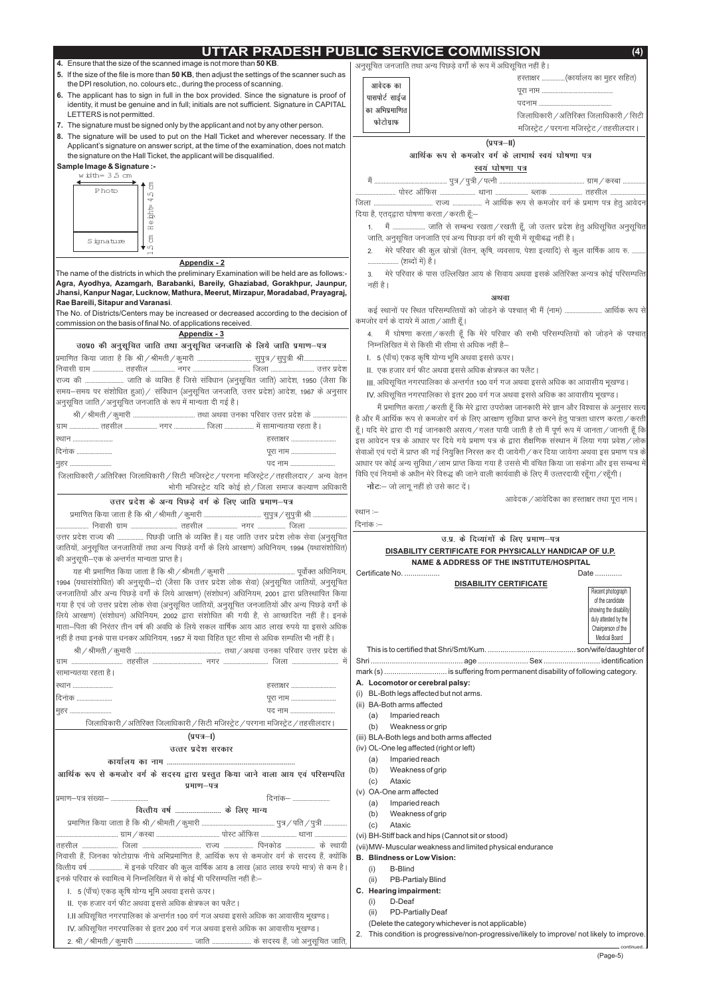# **UTTAR PRADESH PUBLIC SERVICE COMMISSION (4)**

# **4.** Ensure that the size of the scanned image is not more than **50 KB**.

# **Sample Image & Signature :-**

- **5.** If the size of the file is more than **50 KB**, then adjust the settings of the scanner such as the DPI resolution, no. colours etc., during the process of scanning.
- **6.** The applicant has to sign in full in the box provided. Since the signature is proof of identity, it must be genuine and in full; initials are not sufficient. Signature in CAPITAL LETTERS is not permitted.
- **7.** The signature must be signed only by the applicant and not by any other person.
- **8.** The signature will be used to put on the Hall Ticket and wherever necessary. If the Applicant's signature on answer script, at the time of the examination, does not match the signature on the Hall Ticket, the applicant will be disqualified.

**Agra, Ayodhya, Azamgarh, Barabanki, Bareily, Ghaziabad, Gorakhpur, Jaunpur, Jhansi, Kanpur Nagar, Lucknow, Mathura, Meerut, Mirzapur, Moradabad, Prayagraj, Rae Bareili, Sitapur and Varanasi** . The name of the districts in which the preliminary Examination will be held are as follows:-

The No. of Districts/Centers may be increased or decreased according to the decision of commission on the basis of final No. of applications received.

#### **Appendix - 2**

### **Appendix - 3**

|                                                                                            | उ0प्र0 की अनुसूचित जाति तथा अनुसूचित जनजाति के लिये जाति प्रमाण–पत्र                               |
|--------------------------------------------------------------------------------------------|----------------------------------------------------------------------------------------------------|
|                                                                                            |                                                                                                    |
|                                                                                            |                                                                                                    |
|                                                                                            | राज्य की  जाति के व्यक्ति हैं जिसे संविधान (अनुसूचित जाति) आदेश, 1950 (जैसा कि                     |
|                                                                                            | समय–समय पर संशोधित हुआ)/ संविधान (अनुसूचित जनजाति, उत्तर प्रदेश) आदेश, 1967 के अनुसार              |
| अनुसूचित जाति /अनुसूचित जनजाति के रूप में मान्यता दी गई है।                                |                                                                                                    |
|                                                                                            | ਬੈ                                                                                                 |
|                                                                                            | हूँ                                                                                                |
| स्थान                                                                                      | हस्ताक्षर<br>इ                                                                                     |
| दिनांक                                                                                     | रं<br>पूरा नाम                                                                                     |
| मुहर                                                                                       | पद नाम<br>3                                                                                        |
|                                                                                            | f<br>जिलाधिकारी / अतिरिक्त जिलाधिकारी / सिटी मजिस्ट्रेट / परगना मजिस्ट्रेट / तहसीलदार / अन्य वेतन  |
|                                                                                            | भोगी मजिस्ट्रेट यदि कोई हो / जिला समाज कल्याण अधिकारी                                              |
|                                                                                            | उत्तर प्रदेश के अन्य पिछड़े वर्ग के लिए जाति प्रमाण-पत्र                                           |
|                                                                                            | 꾸                                                                                                  |
|                                                                                            | f                                                                                                  |
|                                                                                            | उत्तर प्रदेश राज्य की  पिछड़ी जाति के व्यक्ति हैं। यह जाति उत्तर प्रदेश लोक सेवा (अनुसूचित         |
|                                                                                            | जातियों, अनुसूचित जनजातियों तथा अन्य पिछड़े वर्गों के लिये आरक्षण) अधिनियम, 1994 (यथासंशोधित)      |
| की अनुसूची–एक के अन्तर्गत मान्यता प्राप्त है।                                              |                                                                                                    |
|                                                                                            |                                                                                                    |
|                                                                                            | 1994 (यथासंशोधित) की अनुसूची-दो (जैसा कि उत्तर प्रदेश लोक सेवा) (अनुसूचित जातियों, अनुसूचित        |
|                                                                                            | जनजातियों और अन्य पिछड़े वर्गों के लिये आरक्षण) (संशोधन) अधिनियम, 2001 द्वारा प्रतिस्थापित किया    |
|                                                                                            | गया है एवं जो उत्तर प्रदेश लोक सेवा (अनुसूचित जातियों, अनुसूचित जनजातियों और अन्य पिछड़े वर्गों के |
|                                                                                            | लिये आरक्षण) (संशोधन) अधिनियम, 2002 द्वारा संशोधित की गयी है, से आच्छादित नहीं है। इनके            |
|                                                                                            | माता–पिता की निरंतर तीन वर्ष की अवधि के लिये सकल वार्षिक आय आठ लाख रुपये या इससे अधिक              |
| नहीं है तथा इनके पास धनकर अधिनियम, 1957 में यथा विहित छूट सीमा से अधिक सम्पत्ति भी नहीं है |                                                                                                    |
|                                                                                            |                                                                                                    |
|                                                                                            |                                                                                                    |
| सामान्यतया रहता है।                                                                        |                                                                                                    |
| ख्यान                                                                                      | हस्ताक्षर                                                                                          |
| दिनांक                                                                                     | पूरा नाम                                                                                           |
| मुहर                                                                                       | पद नाम                                                                                             |
|                                                                                            | जिलाधिकारी / अतिरिक्त जिलाधिकारी / सिटी मजिस्ट्रेट / परगना मजिस्ट्रेट / तहसीलदार।                  |
|                                                                                            | (प्रपत्र– <b>।</b> )                                                                               |
|                                                                                            |                                                                                                    |

*mRrj izns'k ljdkj*

*eSa ----------------------------------------------- iq=@iq=h@iRuh ------------------------------------------------------- xzke@dLck ---------------* <u>-----------------------</u> पोस्ट ऑफिस <u>.......................</u> थाना <u>.....................</u> ब्लाक ..................... तहसील ........................

| दिया है, एतद्द्वारा घोषणा करता / करती हूँ:— |  |  |  |  |  |  |
|---------------------------------------------|--|--|--|--|--|--|

1. मैं ..................... जाति से सम्बन्ध रखता / रखती हूँ, जो उत्तर प्रदेश हेतु अधिसूचित अनुसूचित *tkfr] vuqlwfpr tutkfr ,oa vU; fiNM+k oxZ dh lwph esa lwphc) ugha gSA*

2. मेरे परिवार की कुल स्रोत्रों (वेतन, कृषि, व्यवसाय, पेशा इत्यादि) से कुल वार्षिक आय रु. . *-------------------- ¼'kCnksa esa½ gSA*

3. मेरे परिवार के पास उल्लिखित आय के सिवाय अथवा इसके अतिरिक्त अन्यत्र कोई परिसम्पत्ति *ugha gSA*

*dbZ LFkkuksa ij fLFkr ifjlEifRr;ksa dks tksM+us ds i'pkr~ Hkh eSa ¼uke½ ------------------------ vkfFkZd :i ls कमजोर वर्ग के दायरे में आता /* आती हूँ।

#### अथवा

4. मैं घोषणा करता / करती हूँ कि मेरे परिवार की सभी परिसम्पत्तियों को जोड़ने के पश्चात् *fuEufyf[kr esa ls fdlh Hkh lhek ls vf/kd ugha gS&*

- I. 5 (पाँच) एकड़ कृषि योग्य भूमि अथवा इससे ऊपर |
- II.) एक हजार वर्ग फीट अथवा इससे अधिक क्षेत्रफल का फ्लैट |

III. अधिसूचित नगरपालिका के अन्तर्गत 100 वर्ग गज अथवा इससे अधिक का आवासीय भूखण्ड |

IV. अधिसूचित नगरपालिका से इतर 200 वर्ग गज अथवा इससे अधिक का आवासीय भूखण्ड |

मैं प्रमाणित करता / करती हूँ कि मेरे द्वारा उपरोक्त जानकारी मेरे ज्ञान और विश्वास के अनुसार सत्य और मैं आर्थिक रूप से कमजोर वर्ग के लिए आरक्षण सुविधा प्राप्त करने हेतु पात्रता धारण करता / करती  $\frac{2}{3}$ । यदि मेरे द्वारा दी गई जानकारी असत्य ⁄ गलत पायी जाती है तो मैं पूर्ण रूप में जानता ⁄ जानती हूँ कि *bl vkosnu i= ds vk/kkj ij fn;s x;s izek.k i= ds }kjk 'kS{kf.kd laLFkku esa fy;k x;k izos'k@yksd* .<br>.<br>विजिति *dista differe for the form frame in the in the frame for the fail* of a said for the set on the set on t .<br>आधार पर कोई अन्य सुविधा / लाभ प्राप्त किया गया है उससे भी वंचित किया जा सकेगा और इस सम्बन्ध में *fof/k ,oa fu;eksa ds v/khu esjs fo#) dh tkus okyh dk;Zokgh ds fy, eSa mRrjnk;h jgw¡xk@jgw¡xhA*

**नोट**:— जो लागू नहीं हो उसे काट दें |

|                                                                                                 | Imparied reach<br>(a)                                                                      |
|-------------------------------------------------------------------------------------------------|--------------------------------------------------------------------------------------------|
| आर्थिक रूप से कमजोर वर्ग के सदस्य द्वारा प्रस्तुत किया जाने वाला आय एवं परिसम्पत्ति             | Weakness of grip<br>(b)                                                                    |
| प्रमाण–पत्र                                                                                     | Ataxic<br>(c)                                                                              |
| दिनांक–<br> प्रमाण–पत्र संख्या–                                                                 | (v) OA-One arm affected                                                                    |
|                                                                                                 | Imparied reach<br>(a)                                                                      |
| वित्तीय वर्ष  के लिए मान्य                                                                      | Weakness of grip<br>(b)                                                                    |
|                                                                                                 | Ataxic<br>(c)                                                                              |
|                                                                                                 | (vi) BH-Stiff back and hips (Cannot sit or stood)                                          |
|                                                                                                 | (vii) MW- Muscular weakness and limited physical endurance                                 |
| निवासी हैं, जिनका फोटोग्राफ नीचे अभिप्रमाणित है, आर्थिक रूप से कमजोर वर्ग के सदस्य हैं, क्योंकि | <b>B. Blindness or Low Vision:</b>                                                         |
| वित्तीय वर्ष  में इनके परिवार की कूल वार्षिक आय 8 लाख (आठ लाख रुपये मात्र) से कम है।            | <b>B-Blind</b><br>(i)                                                                      |
| इनके परिवार के स्वामित्व में निम्नलिखित में से कोई भी परिसम्पत्ति नहीं है:—                     | PB-Partialy Blind<br>(ii)                                                                  |
| l. 5 (पाँच) एकड़ कृषि योग्य भूमि अथवा इससे ऊपर।                                                 | C. Hearing impairment:                                                                     |
| II. एक हजार वर्ग फीट अथवा इससे अधिक क्षेत्रफल का फ्लैट।                                         | D-Deaf<br>(i)                                                                              |
| I.II अधिसूचित नगरपालिका के अन्तर्गत 100 वर्ग गज अथवा इससे अधिक का आवासीय भूखण्ड ।               | PD-Partially Deaf<br>(ii)                                                                  |
| IV. अधिसूचित नगरपालिका से इतर 200 वर्ग गज अथवा इससे अधिक का आवासीय भूखण्ड।                      | (Delete the category whichever is not applicable)                                          |
|                                                                                                 | 2. This condition is progressive/non-progressive/likely to improve/ not likely to improve. |
|                                                                                                 | - continued                                                                                |

|                                                                         | आवेदक / आवेदिका का हस्ताक्षर तथा पूरा नाम                                                                                             |
|-------------------------------------------------------------------------|---------------------------------------------------------------------------------------------------------------------------------------|
| स्थान :—                                                                |                                                                                                                                       |
| दिनांक :--                                                              |                                                                                                                                       |
| उ.प्र. के दिव्यांगों के लिए प्रमाण-पत्र                                 |                                                                                                                                       |
| DISABILITY CERTIFICATE FOR PHYSICALLY HANDICAP OF U.P.                  |                                                                                                                                       |
| <b>NAME &amp; ADDRESS OF THE INSTITUTE/HOSPITAL</b>                     |                                                                                                                                       |
| Certificate No.                                                         | Date                                                                                                                                  |
| <b>DISABILITY CERTIFICATE</b>                                           | Recent photograph<br>of the candidate<br>showing the disability<br>duly attested by the<br>Chairperson of the<br><b>Medical Board</b> |
|                                                                         |                                                                                                                                       |
|                                                                         |                                                                                                                                       |
| mark (s)  is suffering from permanent disability of following category. |                                                                                                                                       |
| A. Locomotor or cerebral palsy:                                         |                                                                                                                                       |
| BL-Both legs affected but not arms.<br>(i)                              |                                                                                                                                       |
| <b>BA-Both arms affected</b><br>(ii)                                    |                                                                                                                                       |
| Imparied reach<br>(a)                                                   |                                                                                                                                       |
| (b)<br>Weakness or grip                                                 |                                                                                                                                       |
| (iii) BLA-Both legs and both arms affected                              |                                                                                                                                       |

*vuqlwfpr tutkfr rFkk vU; fiNM+s oxksZa ds :i esa vf/klwfpr ugha gSA*

|                                                  | हस्ताक्षर (कार्यालय का मुहर सहित)         |
|--------------------------------------------------|-------------------------------------------|
| आवेदक का                                         |                                           |
| पासपोर्ट साईज  <br>का अभिप्रमाणित  <br>फोटोग्राफ |                                           |
|                                                  | जिलाधिकारी / अतिरिक्त जिलाधिकारी / सिटी   |
|                                                  | मजिस्ट्रेट / परगना मजिस्ट्रेट / तहसीलदार। |

(प्रपत्र—II)

# *vkfFkZd :i ls detksj oxZ ds ykHkkFkZ Lo;a ?kks"k.kk i=*

*Ray Embryon* 

(iv) OL-One leg affected (right or left)

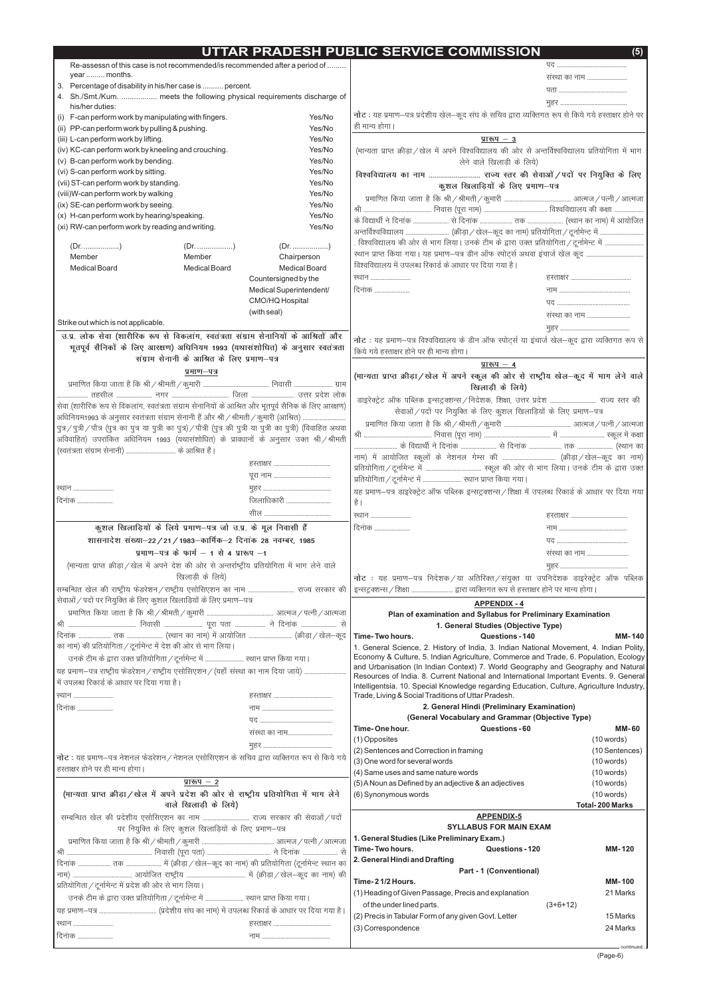(Page-6)

| UTTAR PRADESH PUBLIC SERVICE COMMISSION |  |
|-----------------------------------------|--|
|                                         |  |

|                                                                            |                                                                                | Re-assessn of this case is not recommended/is recommended after a period of                                             |                                                                               |                                                                                                                             |
|----------------------------------------------------------------------------|--------------------------------------------------------------------------------|-------------------------------------------------------------------------------------------------------------------------|-------------------------------------------------------------------------------|-----------------------------------------------------------------------------------------------------------------------------|
| year  months.                                                              |                                                                                |                                                                                                                         |                                                                               | संस्था का नाम                                                                                                               |
| 3. Percentage of disability in his/her case is  percent.                   |                                                                                |                                                                                                                         |                                                                               |                                                                                                                             |
|                                                                            |                                                                                | 4. Sh./Smt./Kum.  meets the following physical requirements discharge of                                                |                                                                               |                                                                                                                             |
| his/her duties:                                                            |                                                                                |                                                                                                                         |                                                                               | नोट : यह प्रमाण–पत्र प्रदेशीय खेल–कूद संघ के सचिव द्वारा व्यक्तिगत रूप से किये गये हस्ताक्षर होने पर                        |
| (i) F-can perform work by manipulating with fingers.                       |                                                                                | Yes/No                                                                                                                  | ही मान्य होगा।                                                                |                                                                                                                             |
| (ii) PP-can perform work by pulling & pushing.                             |                                                                                | Yes/No                                                                                                                  |                                                                               |                                                                                                                             |
| (iii) L-can perform work by lifting.                                       |                                                                                | Yes/No                                                                                                                  |                                                                               | <u>प्रारूप <math>-3</math></u>                                                                                              |
| (iv) KC-can perform work by kneeling and crouching.                        |                                                                                | Yes/No                                                                                                                  |                                                                               | (मान्यता प्राप्त क्रीड़ा /खेल में अपने विश्वविद्यालय की ओर से अन्तर्विश्वविद्यालय प्रतियोगिता में भाग                       |
| (v) B-can perform work by bending.                                         |                                                                                | Yes/No                                                                                                                  |                                                                               | लेने वाले खिलाड़ी के लिये)                                                                                                  |
| (vi) S-can perform work by sitting.                                        |                                                                                | Yes/No<br>Yes/No                                                                                                        |                                                                               |                                                                                                                             |
| (vii) ST-can perform work by standing.                                     |                                                                                | Yes/No                                                                                                                  |                                                                               | कुशल खिलाड़ियों के लिए प्रमाण-पत्र                                                                                          |
| (viii)W-can perform work by walking<br>(ix) SE-can perform work by seeing. |                                                                                | Yes/No                                                                                                                  |                                                                               |                                                                                                                             |
| (x) H-can perform work by hearing/speaking.                                |                                                                                | Yes/No                                                                                                                  |                                                                               |                                                                                                                             |
| (xi) RW-can perform work by reading and writing.                           |                                                                                | Yes/No                                                                                                                  |                                                                               |                                                                                                                             |
|                                                                            |                                                                                |                                                                                                                         |                                                                               |                                                                                                                             |
|                                                                            |                                                                                |                                                                                                                         |                                                                               | . विश्वविद्यालय की ओर से भाग लिया। उनके टीम के द्वारा उक्त प्रतियोगिता / टूर्नामेन्ट में                                    |
| Member                                                                     | Member                                                                         | Chairperson                                                                                                             |                                                                               |                                                                                                                             |
| <b>Medical Board</b>                                                       | <b>Medical Board</b>                                                           | <b>Medical Board</b>                                                                                                    | विश्वविद्यालय में उपलब्ध रिकार्ड के आधार पर दिया गया है।                      |                                                                                                                             |
|                                                                            |                                                                                | Countersigned by the                                                                                                    | ख्यान                                                                         |                                                                                                                             |
|                                                                            |                                                                                | Medical Superintendent/                                                                                                 | दिनांक                                                                        |                                                                                                                             |
|                                                                            |                                                                                | CMO/HQ Hospital                                                                                                         |                                                                               |                                                                                                                             |
|                                                                            |                                                                                | (with seal)                                                                                                             |                                                                               | संस्था का नाम                                                                                                               |
| Strike out which is not applicable.                                        |                                                                                |                                                                                                                         |                                                                               |                                                                                                                             |
|                                                                            |                                                                                | उ.प्र. लोक सेवा (शारीरिक रूप से विकलांग, स्वतंत्रता संग्राम सेनानियों के आश्रितों और                                    |                                                                               | नोट: यह प्रमाण-पत्र विश्वविद्यालय के डीन ऑफ स्पोर्ट्स या इंचार्ज खेल-कूद द्वारा व्यक्तिगत रूप से                            |
|                                                                            |                                                                                | भूतपूर्व सैनिकों के लिए आरक्षण) अधिनियम 1993 (यथासंशोधित) के अनुसार स्वतंत्रता                                          | किये गये हस्ताक्षर होने पर ही मान्य होगा।                                     |                                                                                                                             |
|                                                                            | संग्राम सेनानी के आश्रित के लिए प्रमाण–पत्र                                    |                                                                                                                         |                                                                               |                                                                                                                             |
|                                                                            | प्रमाण–पत्र                                                                    |                                                                                                                         |                                                                               | प्रारूप $-4$                                                                                                                |
|                                                                            |                                                                                |                                                                                                                         |                                                                               | (मान्यता प्राप्त क्रीड़ा / खेल में अपने स्कूल की ओर से राष्ट्रीय खेल-कूद में भाग लेने वाले                                  |
|                                                                            |                                                                                |                                                                                                                         |                                                                               | खिलाड़ी के लिये)                                                                                                            |
|                                                                            |                                                                                | सेवा (शारीरिक रूप से विकलांग, स्वतंत्रता संग्राम सेनानियों के आश्रित और भूतपूर्व सैनिक के लिए आरक्षण)                   |                                                                               | डाइरेक्ट्रेट ऑफ पब्लिक इन्सट्रक्शन्स / निदेशक, शिक्षा, उत्तर प्रदेश  राज्य स्तर की                                          |
|                                                                            |                                                                                | आधिनियम1993 के अनुसार स्वतंत्रता संग्राम सेनानी हैं और श्री / श्रीमती / कुमारी (आश्रित)                                 |                                                                               | सेवाओं / पदों पर नियुक्ति के लिए कुशल खिलाड़ियों के लिए प्रमाण-पत्र                                                         |
|                                                                            |                                                                                | पुत्र / पुत्री / पौत्र (पुत्र का पुत्र या पुत्री का पुत्र) / पौत्री (पुत्र की पुत्री या पुत्री का पुत्री) (विवाहित अथवा |                                                                               |                                                                                                                             |
|                                                                            |                                                                                | अविवाहित) उपरांकित अधिनियम 1993 (यथासंशोधित) के प्रावधानों के अनुसार उक्त श्री/श्रीमती                                  |                                                                               |                                                                                                                             |
| (स्वतंत्रता संग्राम सेनानी)  के आश्रित हैं।                                |                                                                                |                                                                                                                         |                                                                               |                                                                                                                             |
|                                                                            |                                                                                |                                                                                                                         |                                                                               |                                                                                                                             |
|                                                                            |                                                                                |                                                                                                                         |                                                                               |                                                                                                                             |
| स्थान                                                                      |                                                                                |                                                                                                                         | प्रतियोगिता / टूर्नामेन्ट में  स्थान प्राप्त किया गया।                        |                                                                                                                             |
|                                                                            |                                                                                | जिलाधिकारी                                                                                                              |                                                                               | यह प्रमाण-पत्र डाइरेक्ट्रेट ऑफ पब्लिक इन्सट्रक्शन्स / शिक्षा में उपलब्ध रिकार्ड के आधार पर दिया गया                         |
| दिनांक                                                                     |                                                                                |                                                                                                                         | है ।                                                                          |                                                                                                                             |
|                                                                            |                                                                                |                                                                                                                         | ख्यान                                                                         |                                                                                                                             |
|                                                                            | कुशल खिलाड़ियों के लिये प्रमाण-पत्र जो उ.प्र. के मूल निवासी हैं                |                                                                                                                         | दिनांक                                                                        |                                                                                                                             |
|                                                                            | शासनादेश संख्या-22/21/1983-कार्मिक-2 दिनांक 28 नवम्बर, 1985                    |                                                                                                                         |                                                                               |                                                                                                                             |
|                                                                            | प्रमाण-पत्र के फार्म $-$ 1 से 4 प्रारूप $-1$                                   |                                                                                                                         |                                                                               | संस्था का नाम                                                                                                               |
|                                                                            |                                                                                | (मान्यता प्राप्त क्रीड़ा / खेल में अपने देश की ओर से अन्तर्राष्ट्रीय प्रतियोगिता में भाग लेने वाले                      |                                                                               |                                                                                                                             |
|                                                                            | खिलाड़ी के लिये)                                                               |                                                                                                                         |                                                                               | नोट: यह प्रमाण-पत्र निदेशक/या अतिरिक्त/संयुक्त या उपनिदेशक डाइरेक्ट्रेट ऑफ पब्लिक                                           |
|                                                                            |                                                                                | सम्बन्धित खेल की राष्ट्रीय फेडरेशन/राष्ट्रीय एसोसिएशन का नाम  राज्य सरकार की                                            | इन्सट्रक्शन्स / शिक्षा  द्वारा व्यक्तिगत रूप से हस्ताक्षर होने पर मान्य होगा। |                                                                                                                             |
| सेवाओं / पदों पर नियुक्ति के लिए कुशल खिलाड़ियों के लिए प्रमाण–पत्र        |                                                                                |                                                                                                                         |                                                                               |                                                                                                                             |
|                                                                            |                                                                                |                                                                                                                         |                                                                               | <b>APPENDIX - 4</b>                                                                                                         |
|                                                                            |                                                                                |                                                                                                                         |                                                                               | Plan of examination and Syllabus for Preliminary Examination                                                                |
|                                                                            |                                                                                |                                                                                                                         |                                                                               | 1. General Studies (Objective Type)                                                                                         |
| का नाम) की प्रतियोगिता / टूर्नामेन्ट में देश की ओर से भाग लिया।            |                                                                                |                                                                                                                         | Time-Two hours.                                                               | Questions - 140<br><b>MM-140</b><br>1. General Science, 2. History of India, 3. Indian National Movement, 4. Indian Polity, |
|                                                                            | उनके टीम के द्वारा उक्त प्रतियोगिता / टूर्नामेन्ट में  स्थान प्राप्त किया गया। |                                                                                                                         |                                                                               | Economy & Culture, 5. Indian Agriculture, Commerce and Trade, 6. Population, Ecology                                        |
|                                                                            |                                                                                |                                                                                                                         |                                                                               | and Urbanisation (In Indian Context) 7. World Geography and Geography and Natural                                           |
|                                                                            |                                                                                | यह प्रमाण-पत्र राष्ट्रीय फेडरेशन/राष्ट्रीय एसोसिएशन/(यहाँ संस्था का नाम दिया जाये)                                      |                                                                               | Resources of India. 8. Current National and International Important Events. 9. General                                      |
| में उपलब्ध रिकार्ड के आधार पर दिया गया है।                                 |                                                                                |                                                                                                                         |                                                                               | Intelligentsia. 10. Special Knowledge regarding Education, Culture, Agriculture Industry,                                   |
| ख्यान                                                                      |                                                                                |                                                                                                                         | Trade, Living & Social Traditions of Uttar Pradesh.                           |                                                                                                                             |
| दिनांक                                                                     |                                                                                |                                                                                                                         |                                                                               | 2. General Hindi (Preliminary Examination)                                                                                  |
|                                                                            |                                                                                |                                                                                                                         |                                                                               | (General Vocabulary and Grammar (Objective Type)                                                                            |
|                                                                            |                                                                                | संस्था का नाम                                                                                                           | Time-One hour.                                                                | Questions - 60<br><b>MM-60</b>                                                                                              |
|                                                                            |                                                                                |                                                                                                                         | (1) Opposites                                                                 | (10 words)                                                                                                                  |
|                                                                            |                                                                                |                                                                                                                         | (2) Sentences and Correction in framing                                       | (10 Sentences)                                                                                                              |

| नोट : यह प्रमाण–पत्र नेशनल फेडरेशन / नेशनल एसोसिएशन के सचिव द्वारा व्यक्तिगत रूप से किये गये | (3) One word for several words                        | (10 words)             |
|----------------------------------------------------------------------------------------------|-------------------------------------------------------|------------------------|
| हस्ताक्षर होने पर ही मान्य होगा।                                                             | (4) Same uses and same nature words                   | (10 words)             |
| प्रारूप $-2$                                                                                 | (5) A Noun as Defined by an adjective & an adjectives | (10 words)             |
| (मान्यता प्राप्त क्रीड़ा / खेल में अपने प्रदेश की ओर से राष्ट्रीय प्रतियोगिता में भाग लेने   | (6) Synonymous words                                  | (10 words)             |
| वाले खिलाड़ी के लिये)                                                                        |                                                       | <b>Total-200 Marks</b> |
|                                                                                              | <b>APPENDIX-5</b>                                     |                        |
| पर नियुक्ति के लिए कुशल खिलाड़ियों के लिए प्रमाण–पत्र                                        | <b>SYLLABUS FOR MAIN EXAM</b>                         |                        |
|                                                                                              | 1. General Studies (Like Preliminary Exam.)           |                        |
|                                                                                              | Questions - 120<br>Time-Two hours.                    | <b>MM-120</b>          |
|                                                                                              | 2. General Hindi and Drafting                         |                        |
|                                                                                              | <b>Part - 1 (Conventional)</b>                        |                        |
| प्रतियोगिता / टूर्नामेन्ट में प्रदेश की ओर से भाग लिया।                                      | Time-21/2 Hours.                                      | <b>MM-100</b>          |
| उनके टीम के द्वारा उक्त प्रतियोगिता / टूर्नामेन्ट में  स्थान प्राप्त किया गया।               | (1) Heading of Given Passage, Precis and explanation  | 21 Marks               |
|                                                                                              | of the under lined parts.<br>$(3+6+12)$               |                        |
|                                                                                              | (2) Precis in Tabular Form of any given Govt. Letter  | 15 Marks               |
| रथान                                                                                         | (3) Correspondence                                    | 24 Marks               |
| दिनांक                                                                                       |                                                       |                        |
|                                                                                              |                                                       | - continued.           |